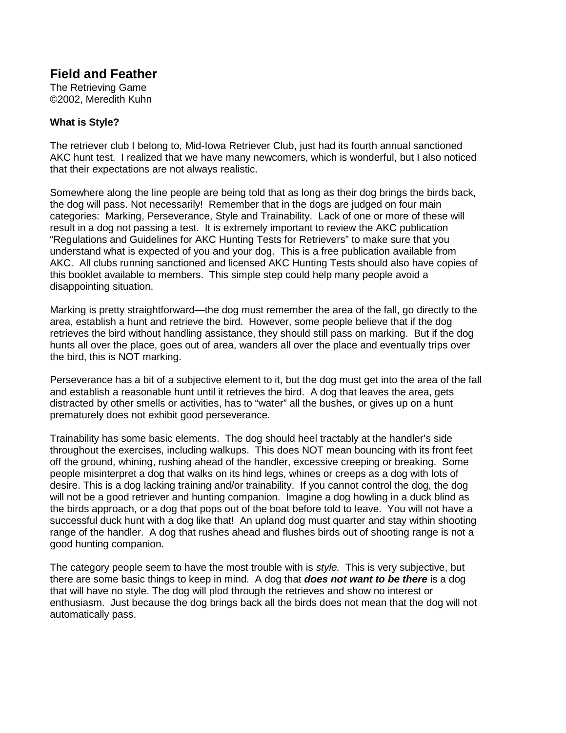## **Field and Feather**

**The Retrieving Game** ©2002, Meredith Kuhn

## **WhatisStyle?**

The retriever club I belong to, Mid - lowa Retriever Club, just had its fourth annual sanctioned AKC hunt test. I realized that we have many new comers, which is wonderful, but I als menticed that their expectations are not always realistic.

Somewhere along the line people are being told that as long as their dog brings the birds back, the dog will pass. Not necessarily! Remember that in the dogs are judged on four main categories: Marking, Perseverance, Style and Trainability. Lack of one or more of the sewill resultinadognot passing a test. It is extremely important to review the AKC publication "Regulations and Guidelines for AKC Hunting Tests for Retrievers" to make sure that you understand what is expected of you and your dog. This is a free publication available from AKC. All clubs running sanctioned and licensed AKC Hunting Tests should also have copies of this book leta vailable to members. This simple step could help many people avoid a disappointing situation.

Marking is pretty straightforward —the dog must remember the area of the fall, go directly to the area, establish a hunt and retrieve the bird. However, some people believe that if the dog retrieves the bird without handling assistance, they should still pass on marking. But if the dog hunts allover the place, goes out of area, wanders allover the place and eventually trips over the bird, this is NOT marking.

Perseverance has a bit of a subjective element to it, but the dogmust get into the area of the fall and establish a reasonable hunt until it retrieves the bird. A dog that leaves the area, gets distracted by other smells or activities, has to "water" all the bushes, or give supona hunt prematurely does not exhibit good perseverance.

Trainability has some basic elements. The dog should heel tractably at the handler's side throughout the exercises, including walkups. This does NOT mean bouncing with its front feet off the ground, whining, rushing ahead of the handler, excessive creeping or breaking. Some peoplemisinterpretadog that walks on its hindlegs, whines or creeps as a dog with lots of desire. This is a dog lacking training and/or trainability. If you cannot control the dog, the dog will not be a good retriever and hunting companion. Imagine a dog how ling in a duck blind as the birds approach, or a dog that pops out of the boat before told to leave. You will not have a successfulduck hunt with a dog like that! An upland dog must qua real retrandstay within shooting range of the handler. A dog that rushes a head and flushes birds out of shooting range is not a good hunting companion.

The category peoplese em to have the most trouble with is style. This is very subjective, but therear esomebasic things to keep in mind. A dog that *does not want to be there* is a dog that will have no style. The dog will plod through the retrieves and show no interest or enthusiasm. Just because the dog brings back all the birds does not mean that the dog will not automatically pass.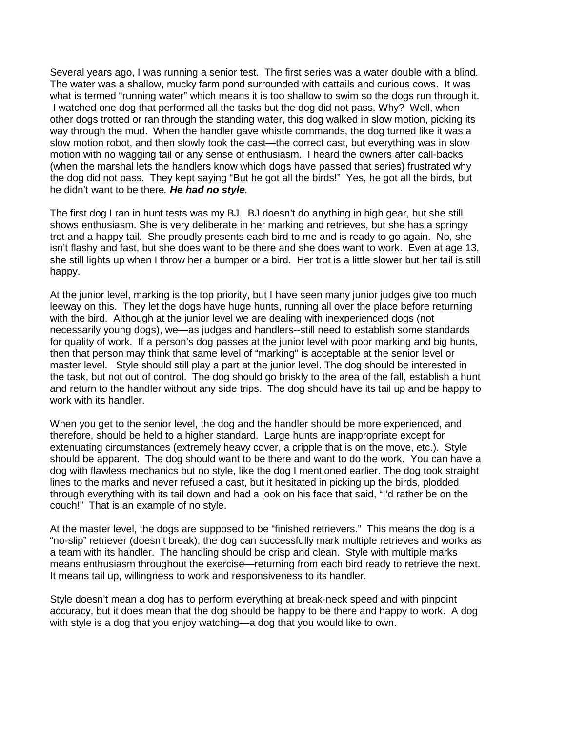Several years ago, I was running a senior test. The first series was a water double with a blind. The water was a shallow, muck yf arm pond surrounded with cattails and curious cows. It was what is termed "running water " which means it is too shallow to swim so the dogs run through it. I watched one dog that performed all the tasks but the dog didnot pass. Why? Well, when other dogs trotted or ran through the standing water, this dog walked in slow motion, picking its way through the mud. When the handler gave whistle commands, the dog turned like it was a slow motion robot, and then slowly took the cast — the correct cast, but everything was in slow motion with no wagging tail or any sense of enthusiasm. I heard the o wners after call - backs (when the marshal lets the handlers know which dogs have passed that series) frustrated why the dog did not pass. They kept saying "But he got all the birds!" Yes, he got all the birds, but he didn't want to be there . He had nosty le.

The first dog I ran in hunt tests was my BJ. BJ doesn't do anything in high gear, but she still shows enthusiasm. She is very deliberate in hermarking and retrieves, but she has a spring y trot and a happy tail. She proudly present seach bird to me and is ready to go again. No, she isn'tflashyandfast, but she does want to be the reand she does want to work. Even at age 13, she still lights up when I throw her a bumper or a bird. Her trotisal it tles lower but hertail is still happy.

Atthe junior level, marking is the top priority, but I have seen many junior judges give toomuch leeway on this. They lett he dogs have huge hunts, running all over the place before returning with the bird. Although at the junior level we are dealing with inex perienced dogs (not necessarily young dogs), we —as judges and handlers --still need to establish some standards for quality of work. If a person's dog passes at the junior level with poor marking and big hunts, then that person may think that same level of "marking" is acceptable at the senior level or master level. Style should still play a part at the junior level. The dogs hould be interested in the task, but not out of control. The dogshould go briskly to the area of the fall, establish a hunt and r eturn to the handler without any side trips. The dogshould have its tail up and be happy to work with its handler.

When you getto the senior level, the dog and the handlershould be more experienced, and therefore, should be held to a higher standard Large hunts are inappropriate except for extenuating circumstances (extremely heavy cover, a cripple that is on the move, etc.). Style should be apparent. The dog should want to be the reand want to do the work. You can have a dog with flawless mechanics but no style, like the dog I mentioned earlier. The dog took straight lines to the marks and never refused a cast, but it hesitated in picking up the birds, plodded through everything with its tail down and had a look on his face that said, "I'd rathe r be on the couch!" That is an example of nostyle.

Atthe master level, the dogs are supposed to be "finished retrievers." This means the dog is a "no-slip" retriever (doesn't break), the dog can success fully mark multiple retrieves and works as ateam with its handler. The handling should be crisp and clean. Style with multiple marks means enthusias m throughout the exercise —returning from each bird ready to retrieve the next. It meanstail up, willingness to work and responsive ness to its handler.

Styledoesn't mean adog has to perform everything at break ---------------------accuracy, but it does mean that the dogshould be happy to be the reand happy to work. A dog with style is a dog that you enjoy watching water and you would like to own.